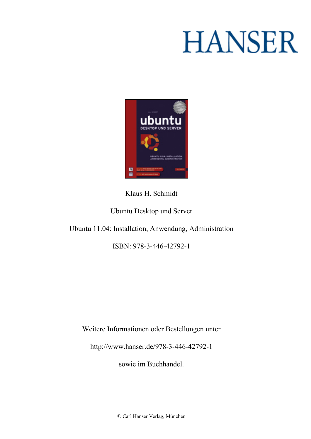# **HANSER**



**Klaus H. Schmidt**

**Ubuntu Desktop und Server**

**Ubuntu 11.04: Installation, Anwendung, Administration**

**ISBN: 978-3-446-42792-1**

**Weitere Informationen oder Bestellungen unter**

**<http://www.hanser.de/978-3-446-42792-1>**

**sowie im Buchhandel.**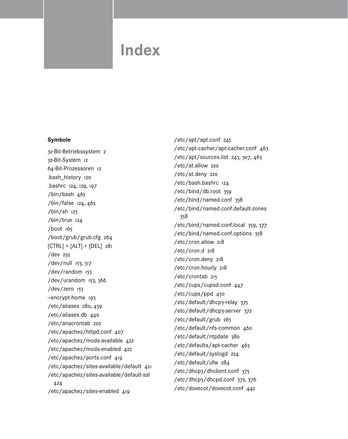# **Index**

#### **Symbole**

32-Bit-Betriebssystem 2 32-Bit-System 12 64-Bit-Prozessoren 12 .bash\_history 120 .bashrc 124, 129, 197 /bin/bash 465 /bin/false 124, 465 /bin/sh 123 /bin/true 124 /boot 165 /boot/grub/grub.cfg 264 [CTRL] + [ALT] + [DEL] 281 /dev 232 /dev/null 153, 317 /dev/random 153 /dev/urandom 153, 366 /dev/zero 153 -encrypt-home 193 /etc/aliases 280, 439 /etc/aliases.db 440 /etc/anacrontab 220 /etc/apache2/httpd.conf 407 /etc/apache2/mods-available 422 /etc/apache2/mods-enabled 422 /etc/apache2/ports.conf 419 /etc/apache2/sites-available/default 421 /etc/apache2/sites-available/default-ssl 424 /etc/apache2/sites-enabled 419

/etc/apt/apt.conf 245 /etc/apt-cacher/apt-cacher.conf 463 /etc/apt/sources.list 243, 307, 463 /etc/at.allow 220 /etc/at.deny 220 /etc/bash.bashrc 124 /etc/bind/db.root 359 /etc/bind/named.conf 358 /etc/bind/named.conf.default-zones 358 /etc/bind/named.conf.local 359, 377 /etc/bind/named.conf.options 358 /etc/cron.allow 218 /etc/cron.d 218 /etc/cron.deny 218 /etc/cron.hourly 218 /etc/crontab 215 /etc/cups/cupsd.conf 447 /etc/cups/ppd 450 /etc/default/dhcp3-relay 375 /etc/default/dhcp3-server 372 /etc/default/grub 265 /etc/default/nfs-common 460 /etc/default/ntpdate 380 /etc/defaults/apt-cacher 463 /etc/default/syslogd 224 /etc/default/ufw 284 /etc/dhcp3/dhclient.conf 375 /etc/dhcp3/dhcpd.conf 372, 376 /etc/dovecot/dovecot.conf 442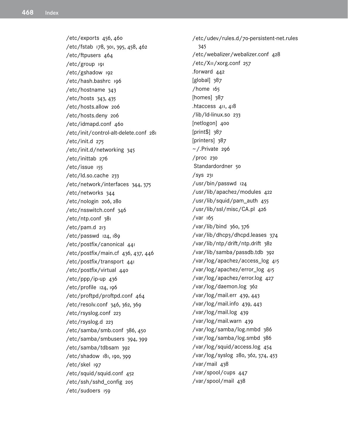/etc/exports 456, 460 /etc/fstab 178, 301, 395, 458, 462 /etc/ftpusers 464 /etc/group 191 /etc/gshadow 192 /etc/hash.bashrc 196 /etc/hostname 343 /etc/hosts 343, 435 /etc/hosts.allow 206 /etc/hosts.deny 206 /etc/idmapd.conf 460 /etc/init/control-alt-delete.conf 281 /etc/init.d 275 /etc/init.d/networking 345 /etc/inittab 276 /etc/issue 155 /etc/ld.so.cache 233 /etc/network/interfaces 344, 375 /etc/networks 344 /etc/nologin 206, 280 /etc/nsswitch.conf 346 /etc/ntp.conf 381 /etc/pam.d 213 /etc/passwd 124, 189 /etc/postfix/canonical 441 /etc/postfix/main.cf 436, 437, 446 /etc/postfix/transport 441 /etc/postfix/virtual 440 /etc/ppp/ip-up 436 /etc/profile 124, 196 /etc/proftpd/proftpd.conf 464 /etc/resolv.conf 346, 362, 369 /etc/rsyslog.conf 223 /etc/rsyslog.d 223 /etc/samba/smb.conf 386, 450 /etc/samba/smbusers 394, 399 /etc/samba/tdbsam 392 /etc/shadow 181, 190, 399 /etc/skel 197 /etc/squid/squid.conf 452 /etc/ssh/sshd\_config 205 /etc/sudoers 159

/etc/udev/rules.d/70-persistent-net.rules 345 /etc/webalizer/webalizer.conf 428 /etc/X11/xorg.conf 257 .forward 442 [global] 387  $/$ home  $165$ [homes] 387 .htaccess 411, 418 /lib/ld-linux.so 233 [netlogon] 400 [print\$] 387 [printers] 387  $\sim$  /.Private 296 /proc 230 Standardordner 50 /sys 231 /usr/bin/passwd 124 /usr/lib/apache2/modules 422 /usr/lib/squid/pam\_auth 455 /usr/lib/ssl/misc/CA.pl 426 /var 165 /var/lib/bind 360, 376 /var/lib/dhcp3/dhcpd.leases 374 /var/lib/ntp/drift/ntp.drift 382 /var/lib/samba/passdb.tdb 392 /var/log/apache2/access\_log 415 /var/log/apache2/error\_log 415 /var/log/apache2/error.log 427 /var/log/daemon.log 362 /var/log/mail.err 439, 443 /var/log/mail.info 439, 443 /var/log/mail.log 439 /var/log/mail.warn 439 /var/log/samba/log.nmbd 386 /var/log/samba/log.smbd 386 /var/log/squid/access.log 454 /var/log/syslog 280, 362, 374, 453 /var/mail 438 /var/spool/cups 447 /var/spool/mail 438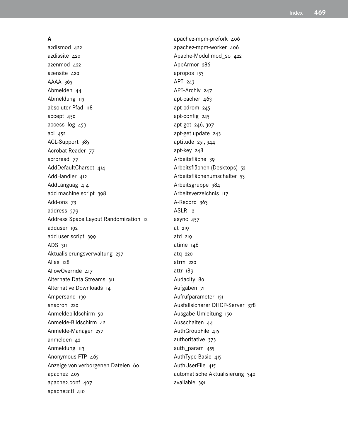#### **A**

a2dismod 422 a2dissite 420 a2enmod 422 a2ensite 420 AAAA 363 Abmelden 44 Abmeldung 113 absoluter Pfad 118 accept 450 access\_log 453 acl 452 ACL-Support 385 Acrobat Reader 77 acroread 77 AddDefaultCharset 414 AddHandler 412 AddLanguag 414 add machine script 398 Add-ons 73 address 379 Address Space Layout Randomization 12 adduser 192 add user script 399 ADS 311 Aktualisierungsverwaltung 237 Alias 128 AllowOverride 417 Alternate Data Streams 311 Alternative Downloads 14 Ampersand 139 anacron 220 Anmeldebildschirm 50 Anmelde-Bildschirm 42 Anmelde-Manager 257 anmelden 42 Anmeldung 113 Anonymous FTP 465 Anzeige von verborgenen Dateien 60 apache2 405 apache2.conf 407 apache2ctl 410

apache2-mpm-prefork 406 apache2-mpm-worker 406 Apache-Modul mod\_so 422 AppArmor 286 apropos 153 APT 243 APT-Archiv 247 apt-cacher 463 apt-cdrom 245 apt-config 245 apt-get 246, 307 apt-get update 243 aptitude 251, 344 apt-key 248 Arbeitsfläche 39 Arbeitsflächen (Desktops) 52 Arbeitsflächenumschalter 53 Arbeitsgruppe 384 Arbeitsverzeichnis 117 A-Record 363 ASLR 12 async 457 at 219 atd 219 atime 146 atq 220 atrm 220 attr 189 Audacity 80 Aufgaben 71 Aufrufparameter 131 Ausfallsicherer DHCP-Server 378 Ausgabe-Umleitung 150 Ausschalten 44 AuthGroupFile 415 authoritative 373 auth\_param 455 AuthType Basic 415 AuthUserFile 415 automatische Aktualisierung 340 available 391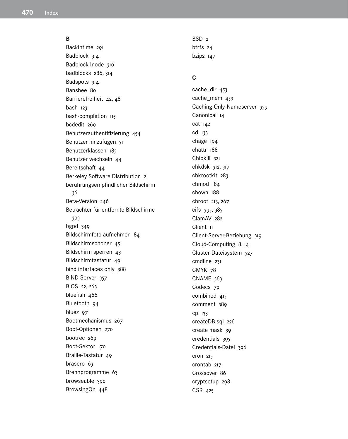#### **B**

Backintime 291 Badblock 314 Badblock-Inode 316 badblocks 286, 314 Badspots 314 Banshee 80 Barrierefreiheit 42, 48 bash 123 bash-completion 115 bcdedit 269 Benutzerauthentifizierung 454 Benutzer hinzufügen 51 Benutzerklassen 183 Benutzer wechseln 44 Bereitschaft 44 Berkeley Software Distribution 2 berührungsempfindlicher Bildschirm 36 Beta-Version 246 Betrachter für entfernte Bildschirme 303 bgpd 349 Bildschirmfoto aufnehmen 84 Bildschirmschoner 45 Bildschirm sperren 43 Bildschirmtastatur 49 bind interfaces only 388 BIND-Server 357 BIOS 22, 263 bluefish 466 Bluetooth 94 bluez 97 Bootmechanismus 267 Boot-Optionen 270 bootrec 269 Boot-Sektor 170 Braille-Tastatur 49 brasero 63 Brennprogramme 63 browseable 390 BrowsingOn 448

 $RSD<sub>2</sub>$ btrfs 24 bzip2 147

#### **C**

cache\_dir 453 cache\_mem 453 Caching-Only-Nameserver 359 Canonical 14 cat 142 cd 133 chage 194 chattr 188 Chipkill 321 chkdsk 312, 317 chkrootkit 283 chmod 184 chown 188 chroot 213, 267 cifs 395, 383 ClamAV 282 Client 11 Client-Server-Beziehung 319 Cloud-Computing 8, 14 Cluster-Dateisystem 327 cmdline 231 CMYK 78 CNAME 363 Codecs 79 combined 415 comment 389 cp 133 createDB.sql 226 create mask 391 credentials 395 Credentials-Datei 396 cron 215 crontab 217 Crossover 86 cryptsetup 298 CSR 425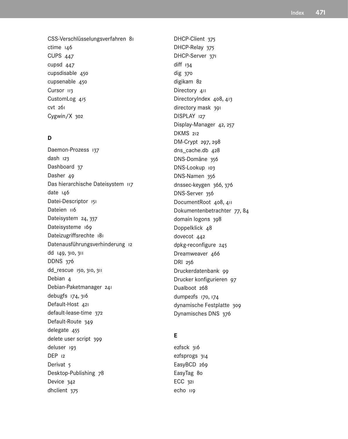CSS-Verschlüsselungsverfahren 81  $ctime$   $146$ **CUPS 447** cupsd 447 cupsdisable 450 cupsenable 450 Cursor 113 CustomLog 415 cvt 261 Cygwin/X 302

# D

Daemon-Prozess 137 dash 123 Dashboard 37 Dasher 49 Das hierarchische Dateisystem 117 date 146 Datei-Descriptor 151 Dateien 116 Dateisystem 24, 337 Dateisysteme 169 Dateizugriffsrechte 181 Datenausführungsverhinderung 12 dd 149, 310, 311 **DDNS 376** dd\_rescue 150, 310, 311 Debian 4 Debian-Paketmanager 241 debugfs 174, 316 Default-Host 421 default-lease-time 372 Default-Route 349 delegate 455 delete user script 399 deluser 193 DEP 12 Derivat<sub>5</sub> Desktop-Publishing 78 Device 342 dhclient 375

DHCP-Client 375 DHCP-Relay 375 DHCP-Server 371 diff 134 dig 370 digikam 82 Directory 411 DirectoryIndex 408, 413 directory mask 391 DISPLAY 127 Display-Manager 42, 257 DKMS 212 DM-Crypt 297, 298 dns\_cache.db 428 DNS-Domäne 356 DNS-Lookup 103 DNS-Namen 356 dnssec-keygen 366, 376 DNS-Server 356 DocumentRoot 408, 411 Dokumentenbetrachter 77, 84 domain logons 398 Doppelklick 48 dovecot 442 dpkg-reconfigure 245 Dreamweaver 466 DRI 256 Druckerdatenbank 99 Drucker konfigurieren 97 Dualboot 268 dumpe2fs 170, 174 dynamische Festplatte 309 Dynamisches DNS 376

# F.

ezfsck 316 ezfsprogs 314 EasyBCD 269 EasyTag 80 ECC 321 echo 119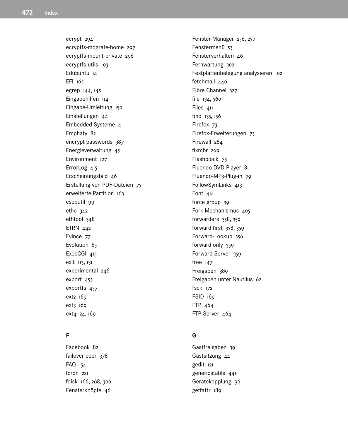ecrypt 294 ecryptfs-mograte-home 297 ecryptfs-mount-private 296 ecryptfs-utils 193 Edubuntu 14 EFI 163 egrep 144, 145 Eingabehilfen 114 Eingabe-Umleitung 150 Einstellungen 44 Embedded-Systeme 4 Emphaty 82 encrypt passwords 387 Energieverwaltung 45 Environment 127 ErrorLog 415 Erscheinungsbild 46 Erstellung von PDF-Dateien 75 erweiterte Partition 163 escputil 99 eth0 342 ethtool 348 ETRN 442 Evince 77 Evolution 65 ExecCGI 413 exit 113, 131 experimental 246 export 453 exportfs 457 ext2 169 ext3 169 ext4 24, 169

# **F**

Facebook 82 failover peer 378 FAQ 154 fcron 221 fdisk 166, 268, 306 Fensterknöpfe 46

Fenster-Manager 256, 257 Fenstermenü 53 Fensterverhalten 46 Fernwartung 302 Festplattenbelegung analysieren 102 fetchmail 446 Fibre Channel 327 file 134, 360 Files 411 find 135, 156 Firefox 73 Firefox-Erweiterungen 73 Firewall 284 fixmbr 269 Flashblock 73 Fluendo DVD-Player 81 Fluendo-MP3-Plug-in 79 FollowSymLinks 413 Font 414 force group 391 Fork-Mechanismus 405 forwarders 358, 359 forward first 358, 359 Forward-Lookup 356 forward only 359 Forward-Server 359 free 147 Freigaben 389 Freigaben unter Nautilus 62 fsck 172 FSID 169 FTP 464 FTP-Server 464

#### **G**

Gastfreigaben 391 Gastsitzung 44 gedit 121 genericstable 441 Gerätekopplung 96 getfattr 189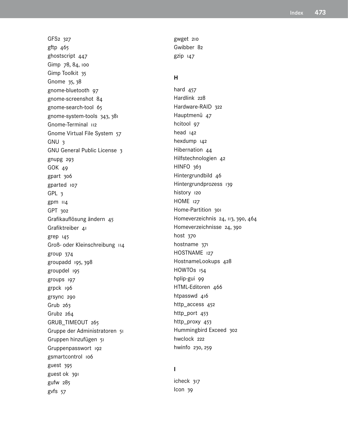GFS2 327 gftp 465 ghostscript 447 Gimp 78, 84, 100 Gimp Toolkit 35 Gnome 35, 38 gnome-bluetooth 97 gnome-screenshot 84 gnome-search-tool 65 gnome-system-tools 343, 381 Gnome-Terminal 112 Gnome Virtual File System 57 GNU 3 GNU General Public License 3 gnupg 293 GOK 49 gpart 306 gparted 107 GPL 3 gpm 114 GPT 302 Grafikauflösung ändern 45 Grafiktreiber 41 grep 145 Groß- oder Kleinschreibung 114 group 374 groupadd 195, 398 groupdel 195 groups 197 grpck 196 grsync 290 Grub 263 Grub2 264 GRUB\_TIMEOUT 265 Gruppe der Administratoren 51 Gruppen hinzufügen 51 Gruppenpasswort 192 gsmartcontrol 106 guest 395 guest ok 391 gufw 285 gvfs 57

gwget 210 Gwibber 82 gzip 147

#### **H**

hard 457 Hardlink 228 Hardware-RAID 322 Hauptmenü 47 hcitool 97 head 142 hexdump 142 Hibernation 44 Hilfstechnologien 42 HINFO 363 Hintergrundbild 46 Hintergrundprozess 139 history 120 HOME 127 Home-Partition 301 Homeverzeichnis 24, 113, 390, 464 Homeverzeichnisse 24, 390 host 370 hostname 371 HOSTNAME 127 HostnameLookups 428 HOWTOs 154 hplip-gui 99 HTML-Editoren 466 htpasswd 416 http\_access 452 http\_port 453 http\_proxy 453 Hummingbird Exceed 302 hwclock 222 hwinfo 230, 259

# **I**

icheck 317 Icon 39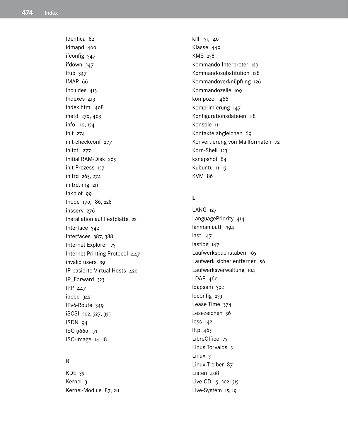Identica 82 idmapd 460 ifconfig 347 ifdown 347 Ifup 347 IMAP 66 Includes 413 Indexes 413 index.html 408 inetd 279, 403 info 110, 154 init 274 init-checkconf 277 initctl 277 Initial RAM-Disk 265 init-Prozess 137 initrd 265, 274 initrd.img 211 inkblot 99 Inode 170, 186, 228 insserv 276 Installation auf Festplatte 22 Interface 342 interfaces 387, 388 Internet Explorer 73 Internet Printing Protocol 447 invalid users 391 IP-basierte Virtual Hosts 420 IP\_Forward 323 **IPP 447** ipppo 342 IPv6-Route 349 iSCSI 302, 327, 335 ISDN 94 ISO 9660 171 ISO-Image 14, 18

# $\mathsf{K}$

KDE 35 Kernel 3 Kernel-Module 87, 211 kill 131, 140 Klasse 449 KMS 258 Kommando-Interpreter 123 Kommandosubstitution 128 Kommandoverknüpfung 126 Kommandozeile 109 kompozer 466 Komprimierung 147 Konfigurationsdateien 118 Konsole III Kontakte abgleichen 69 Konvertierung von Mailformaten 72 Korn-Shell 123 ksnapshot 84 Kubuntu II, 13 **KVM 86** 

# $\mathbf{L}$

LANG 127 LanguagePriority 414 lanman auth 394 last 147 lastlog 147 Laufwerksbuchstaben 165 Laufwerk sicher entfernen 56 Laufwerksverwaltung 104 LDAP 460 Idapsam 392 Idconfig 233 Lease Time 374 Lesezeichen 56 less 142 lftp 465 LibreOffice 75 Linus Torvalds 3 Linux 3 Linux-Treiber 87 Listen 408 Live-CD 15, 302, 315 Live-System 15, 19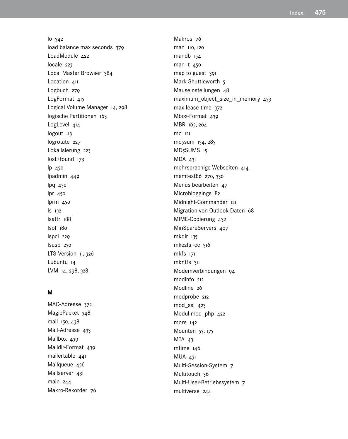lo 342 load balance max seconds 379 LoadModule 422 locale 223 Local Master Browser 384 Location 411 Logbuch 279 LogFormat 415 Logical Volume Manager 14, 298 logische Partitionen 163 LogLevel 414 logout 113 logrotate 227 Lokalisierung 223 lost+found 173 lp 450 lpadmin 449 lpq 450 lpr 450 lprm 450 ls 132 lsattr 188 lsof 180 lspci 229 lsusb 230 LTS-Version 11, 326 Lubuntu 14 LVM 14, 298, 328

#### **M**

MAC-Adresse 372 MagicPacket 348 mail 150, 438 Mail-Adresse 433 Mailbox 439 Maildir-Format 439 mailertable 441 Mailqueue 436 Mailserver 431 main 244 Makro-Rekorder 76 Makros 76 man 110, 120 mandb 154 man -t 450 map to guest 391 Mark Shuttleworth 5 Mauseinstellungen 48 maximum\_object\_size\_in\_memory 453 max-lease-time 372 Mbox-Format 439 MBR 163, 264 mc 121 md5sum 134, 283 MD5SUMS 15 MDA 431 mehrsprachige Webseiten 414 memtest86 270, 330 Menüs bearbeiten 47 Microbloggings 82 Midnight-Commander 121 Migration von Outlook-Daten 68 MIME-Codierung 432 MinSpareServers 407 mkdir 135 mke2fs -cc 316 mkfs 171 mkntfs 311 Modemverbindungen 94 modinfo 212 Modline 261 modprobe 212 mod\_ssl 423 Modul mod\_php 422 more 142 Mounten 55, 175 MTA 431 mtime 146 MUA 431 Multi-Session-System 7 Multitouch 36 Multi-User-Betriebssystem 7 multiverse 244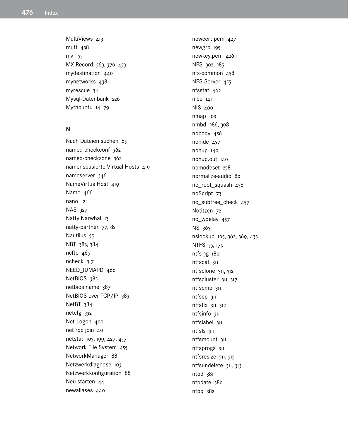MultiViews 413 mutt 438 MV 135 MX-Record 363, 370, 433 mydestination 440 mynetworks 438 myrescue 311 Mysql-Datenbank 226 Mythbuntu 14, 79

#### N

Nach Dateien suchen 65 named-checkconf 362 named-checkzone 362 namensbasierte Virtual Hosts 419 nameserver 346 NameVirtualHost 419 Namo 466 nano 121 NAS 327 Natty Narwhal 13 natty-partner 77, 82 Nautilus 55 NBT 383, 384  $ncftp$  465 ncheck 317 NEED\_IDMAPD 460 NetBIOS 383 netbios name 387 NetBIOS over TCP/IP 383 NetBT 384 netcfg 332 Net-Logon 400 net rpc join 401 netstat 103, 199, 427, 457 Network File System 455 NetworkManager 88 Netzwerkdiagnose 103 Netzwerkkonfiguration 88 Neu starten 44 newaliases 440

newcert.pem 427 newgrp 195 newkey.pem 426 NFS 302, 385 nfs-common 458 NFS-Server 455 nfsstat 462  $nice$   $141$ NIS 460 nmap 103 nmbd 386, 398 nobody 456 nohide  $457$ nohup 140 nohup.out 140 nomodeset 258 normalize-audio 80 no\_root\_squash 456 noScript 73 no\_subtree\_check 457 Notitzen 72 no\_wdelay 457 NS 363 nslookup 103, 362, 369, 433 NTFS 55, 179 ntfs-3g 180 ntfscat 311 ntfsclone 311, 312 ntfscluster 311, 317 ntfscmp 311 ntfscp 311 ntfsfix 311, 312 ntfsinfo 311 ntfslabel 311 ntfsls 311 ntfsmount 311 ntfsprogs 311 ntfsresize 311, 313 ntfsundelete 311, 313 ntpd 381 ntpdate 380 ntpq 382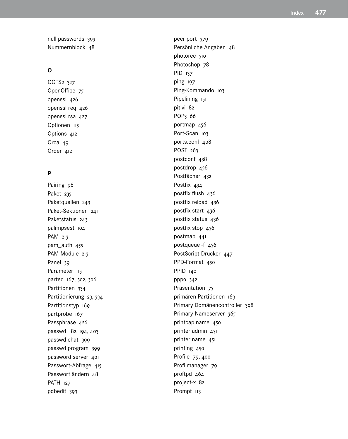null passwords 393 Nummernblock 48

# **O**

OCFS2 327 OpenOffice 75 openssl 426 openssl req 426 openssl rsa 427 Optionen 115 Options 412 Orca<sub>49</sub> Order 412

#### **P**

Pairing 96 Paket 235 Paketquellen 243 Paket-Sektionen 241 Paketstatus 243 palimpsest 104 PAM 213 pam\_auth 455 PAM-Module 213 Panel 39 Parameter 115 parted 167, 302, 306 Partitionen 334 Partitionierung 23, 334 Partitionstyp 169 partprobe 167 Passphrase 426 passwd 182, 194, 403 passwd chat 399 passwd program 399 password server 401 Passwort-Abfrage 415 Passwort ändern 48 PATH 127 pdbedit 393

peer port 379 Persönliche Angaben 48 photorec 310 Photoshop 78 PID 137 ping 197 Ping-Kommando 103 Pipelining 151 pitivi 82 POP3 66 portmap 456 Port-Scan 103 ports.conf 408 POST 263 postconf 438 postdrop 436 Postfächer 432 Postfix 434 postfix flush 436 postfix reload 436 postfix start 436 postfix status 436 postfix stop 436 postmap 441 postqueue -f 436 PostScript-Drucker 447 PPD-Format 450 PPID 140 ppp0 342 Präsentation 75 primären Partitionen 163 Primary Domänencontroller 398 Primary-Nameserver 365 printcap name 450 printer admin 451 printer name 451 printing 450 Profile 79, 400 Profilmanager 79 proftpd 464 project-x 82 Prompt 113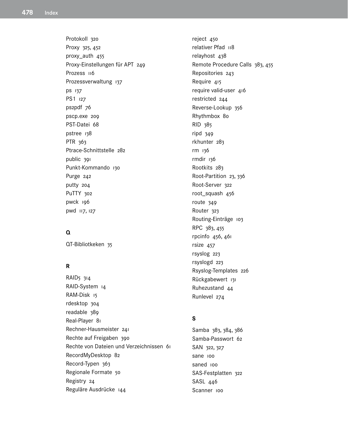Protokoll 320 Proxy 325, 452 proxy\_auth 455 Proxy-Einstellungen für APT 249 Prozess 116 Prozessverwaltung 137 **ps** 137 PS1 127 ps2pdf 76 pscp.exe 209 PST-Datei 68 pstree 138 PTR 363 Ptrace-Schnittstelle 282 public 391 Punkt-Kommando 130 Purge 242 putty 204 PuTTY 302 pwck 196 pwd 117, 127

# $\Omega$

QT-Bibliotkeken 35

# $\overline{\mathsf{R}}$

RAID<sub>5</sub> 314 RAID-System 14 RAM-Disk 15 rdesktop 304 readable 389 Real-Player 81 Rechner-Hausmeister 241 Rechte auf Freigaben 390 Rechte von Dateien und Verzeichnissen 61 RecordMyDesktop 82 Record-Typen 363 Regionale Formate 50 Registry 24 Reguläre Ausdrücke 144

reject 450 relativer Pfad 118 relayhost 438 Remote Procedure Calls 383, 455 Repositories 243 Require 415 require valid-user 416 restricted 244 Reverse-Lookup 356 Rhythmbox 80 RID 385 ripd 349 rkhunter 283 rm 136 rmdir 136 Rootkits 283 Root-Partition 23, 336 Root-Server 322 root\_squash 456 route 349 Router 323 Routing-Einträge 103 RPC 383, 455 rpcinfo 456, 461 rsize 457 rsyslog 223 rsyslogd 223 Rsyslog-Templates 226 Rückgabewert 131 Ruhezustand 44 Runlevel 274

# S

Samba 383, 384, 386 Samba-Passwort 62 SAN 322, 327 sane 100 saned 100 SAS-Festplatten 322 SASL 446 Scanner 100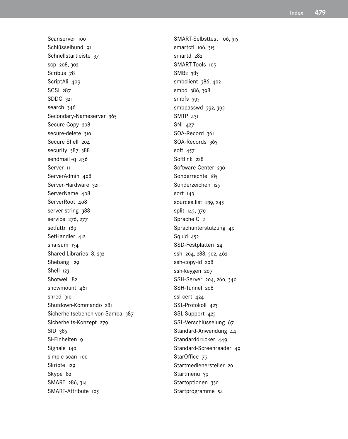Scanserver 100 Schlüsselbund 91 Schnellstartleiste 37 scp 208, 302 Scribus 78 ScriptAli 409 SCSI 287 SDDC 321 search 346 Secondary-Nameserver 365 Secure Copy 208 secure-delete 310 Secure Shell 204 security 387, 388 sendmail-q 436 Server 11 ServerAdmin 408 Server-Hardware 321 ServerName 408 ServerRoot 408 server string 388 service 276, 277 setfattr 189 SetHandler 412 shaisum 134 Shared Libraries 8, 232 Shebang 129 Shell 123 Shotwell 82 showmount 461 shred 310 Shutdown-Kommando 281 Sicherheitsebenen von Samba 387 Sicherheits-Konzept 279 SID 385 SI-Einheiten 9 Signale 140 simple-scan 100 Skripte 129 Skype 82 SMART 286, 314 SMART-Attribute 105

SMART-Selbsttest 106, 315 smartctl 106, 315 smartd 282 SMART-Tools 105 SMB2 383 smbclient 386, 402 smbd 386, 398 smbfs 395 smbpasswd 392, 393 SMTP 431 SNI 427 SOA-Record 361 SOA-Records 363 soft 457 Softlink 228 Software-Center 236 Sonderrechte 185 Sonderzeichen 125 sort 143 sources.list 239, 245 split 143, 379 Sprache C 2 Sprachunterstützung 49 Squid 452 SSD-Festplatten 24 ssh 204, 288, 302, 462 ssh-copy-id 208 ssh-keygen 207 SSH-Server 204, 260, 340 SSH-Tunnel 208 ssl-cert 424 SSL-Protokoll 423 SSL-Support 423 SSL-Verschlüsselung 67 Standard-Anwendung 44 Standarddrucker 449 Standard-Screenreader 49 StarOffice 75 Startmedienersteller 20 Startmenü 39 Startoptionen 330 Startprogramme 54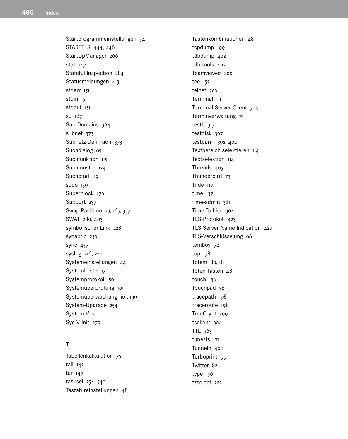Startprogrammeinstellungen 54 STARTTLS 444, 446 StartUpManager 266 stat 147 Stateful Inspection 284 Statusmeldungen 413 stderr 151 stdin 151 stdout 151 SU 187 Sub-Domains 364 subnet 373 Subnetz-Definition 373 Suchdialog 65 Suchfunktion 115 Suchmuster 124 Suchpfad 119 sudo 159 Superblock 170 Support 237 Swap-Partition 23, 165, 337 SWAT 280, 403 symbolischer Link 228 synaptic 239 sync  $457$ syslog 216, 223 Systemeinstellungen 44 Systemleiste 37 Systemprotokoll 50 Systemüberprüfung ioi Systemüberwachung 101, 139 System-Upgrade 254 System V<sub>2</sub> Sys-V-Init 275

# $\mathbf{T}$

Tabellenkalkulation 75  $tail$   $142$  $tar$   $147$ tasksel 254, 340 Tastatureinstellungen 48 Tastenkombinationen 48 tcpdump 199 tdbdump 402 tdb-tools 402 Teamviewer 209 tee 152 telnet 203 Terminal III Terminal-Server-Client 304 Terminverwaltung 71 testb 317 testdisk 307 testparm 392, 402 Textbereich selektieren 114 Textselektion 114 Threads 405 Thunderbird 73 Tilde 117  $time$   $137$ time-admin 381 Time To Live 364 TLS-Protokoll 423 TLS Server Name Indication 427 TLS-Verschlüsselung 66 tomboy 72 top 138 Totem 8o, 8i Toten Tasten 48 touch 136 Touchpad 36 tracepath 198 traceroute 198 TrueCrypt 299 tsclient 304 TTL 363 tune2fs 171 Tunneln 462 Turboprint 99 Twitter 82 type 156 tzselect 222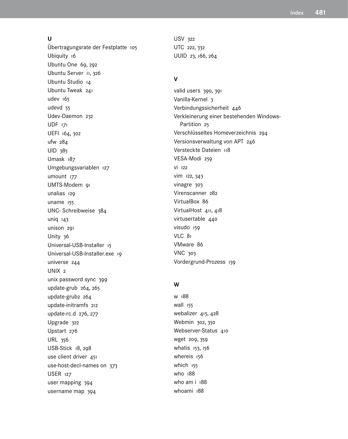#### $\mathbf{U}$

Übertragungsrate der Festplatte 105 Ubiquity 16 Ubuntu One 69, 292 Ubuntu Server II, 326 Ubuntu Studio 14 Ubuntu Tweak 241 udev 165 udevd 55 Udev-Daemon 232 UDF 171 UEFI 164, 302 ufw  $284$ UID 385 Umask 187 Umgebungsvariablen 127 umount 177 UMTS-Modem 91 unalias 129 uname 155 UNC-Schreibweise 384  $uniq$   $143$ unison 291 Unity 36 Universal-USB-Installer 15 Universal-USB-Installer.exe 19 universe 244 UNIX<sub>2</sub> unix password sync 399 update-grub 264, 265 update-grub2 264 update-initramfs 212 update-rc.d 276, 277 Upgrade 322 Upstart 276 **URL 356** USB-Stick 18, 298 use client driver 451 use-host-decl-names on 373 **USER 127** user mapping 394 username map 394

USV 322 UTC 222, 332 UUID 23, 166, 264

# $\mathbf v$

valid users 390, 391 Vanilla-Kernel 3 Verbindungssicherheit 446 Verkleinerung einer bestehenden Windows-Partition 25 Verschlüsseltes Homeverzeichnis 294 Versionsverwaltung von APT 246 Versteckte Dateien u8 VESA-Modi 250 Vİ 122 vim 122, 343 vinagre 303 Virenscanner 282 VirtualBox 86 VirtualHost 411, 418 virtusertable 440 visudo 159 VLC 81 VMware 86 **VNC 303** Vordergrund-Prozess 139

#### W

W 188 wall 155 webalizer 415, 428 Webmin 302, 350 Webserver-Status 410 wget 209, 359 whatis 153, 156 whereis 156 which 155 who 188 who am i 188 whoami 188